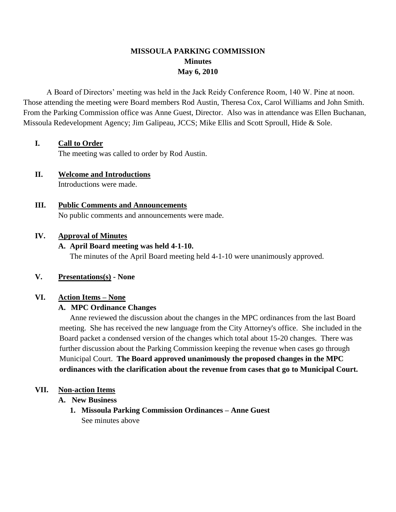# **MISSOULA PARKING COMMISSION Minutes May 6, 2010**

A Board of Directors' meeting was held in the Jack Reidy Conference Room, 140 W. Pine at noon. Those attending the meeting were Board members Rod Austin, Theresa Cox, Carol Williams and John Smith. From the Parking Commission office was Anne Guest, Director. Also was in attendance was Ellen Buchanan, Missoula Redevelopment Agency; Jim Galipeau, JCCS; Mike Ellis and Scott Sproull, Hide & Sole.

## **I. Call to Order**

The meeting was called to order by Rod Austin.

### **II. Welcome and Introductions** Introductions were made.

# **III. Public Comments and Announcements** No public comments and announcements were made.

### **IV. Approval of Minutes**

## **A. April Board meeting was held 4-1-10.**

The minutes of the April Board meeting held 4-1-10 were unanimously approved.

### **V. Presentations(s) - None**

### **VI. Action Items – None**

## **A. MPC Ordinance Changes**

Anne reviewed the discussion about the changes in the MPC ordinances from the last Board meeting. She has received the new language from the City Attorney's office. She included in the Board packet a condensed version of the changes which total about 15-20 changes. There was further discussion about the Parking Commission keeping the revenue when cases go through Municipal Court. **The Board approved unanimously the proposed changes in the MPC ordinances with the clarification about the revenue from cases that go to Municipal Court.** 

### **VII. Non-action Items**

## **A. New Business**

**1. Missoula Parking Commission Ordinances – Anne Guest** See minutes above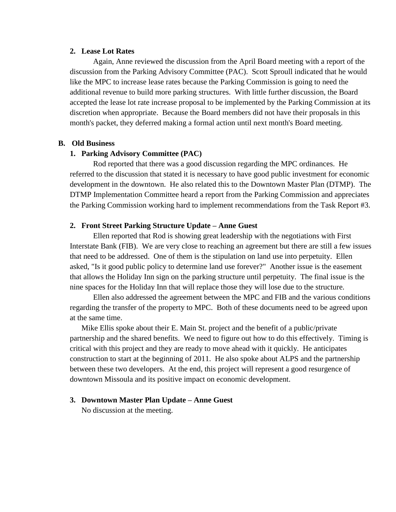#### **2. Lease Lot Rates**

Again, Anne reviewed the discussion from the April Board meeting with a report of the discussion from the Parking Advisory Committee (PAC). Scott Sproull indicated that he would like the MPC to increase lease rates because the Parking Commission is going to need the additional revenue to build more parking structures. With little further discussion, the Board accepted the lease lot rate increase proposal to be implemented by the Parking Commission at its discretion when appropriate. Because the Board members did not have their proposals in this month's packet, they deferred making a formal action until next month's Board meeting.

#### **B. Old Business**

#### **1. Parking Advisory Committee (PAC)**

Rod reported that there was a good discussion regarding the MPC ordinances. He referred to the discussion that stated it is necessary to have good public investment for economic development in the downtown. He also related this to the Downtown Master Plan (DTMP). The DTMP Implementation Committee heard a report from the Parking Commission and appreciates the Parking Commission working hard to implement recommendations from the Task Report #3.

#### **2. Front Street Parking Structure Update – Anne Guest**

Ellen reported that Rod is showing great leadership with the negotiations with First Interstate Bank (FIB). We are very close to reaching an agreement but there are still a few issues that need to be addressed. One of them is the stipulation on land use into perpetuity. Ellen asked, "Is it good public policy to determine land use forever?" Another issue is the easement that allows the Holiday Inn sign on the parking structure until perpetuity. The final issue is the nine spaces for the Holiday Inn that will replace those they will lose due to the structure.

Ellen also addressed the agreement between the MPC and FIB and the various conditions regarding the transfer of the property to MPC. Both of these documents need to be agreed upon at the same time.

Mike Ellis spoke about their E. Main St. project and the benefit of a public/private partnership and the shared benefits. We need to figure out how to do this effectively. Timing is critical with this project and they are ready to move ahead with it quickly. He anticipates construction to start at the beginning of 2011. He also spoke about ALPS and the partnership between these two developers. At the end, this project will represent a good resurgence of downtown Missoula and its positive impact on economic development.

#### **3. Downtown Master Plan Update – Anne Guest**

No discussion at the meeting.